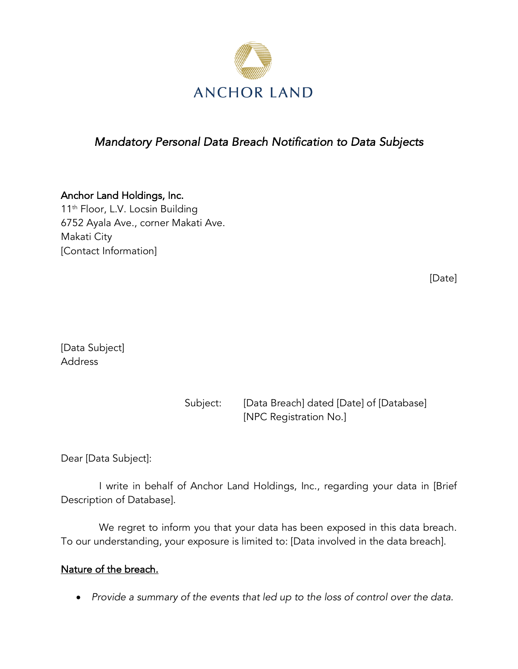

# *Mandatory Personal Data Breach Notification to Data Subjects*

Anchor Land Holdings, Inc. 11<sup>th</sup> Floor, L.V. Locsin Building 6752 Ayala Ave., corner Makati Ave. Makati City [Contact Information]

[Date]

[Data Subject] Address

| Subject: | [Data Breach] dated [Date] of [Database] |
|----------|------------------------------------------|
|          | [NPC Registration No.]                   |

Dear [Data Subject]:

I write in behalf of Anchor Land Holdings, Inc., regarding your data in [Brief Description of Database].

We regret to inform you that your data has been exposed in this data breach. To our understanding, your exposure is limited to: [Data involved in the data breach].

### Nature of the breach.

• *Provide a summary of the events that led up to the loss of control over the data.*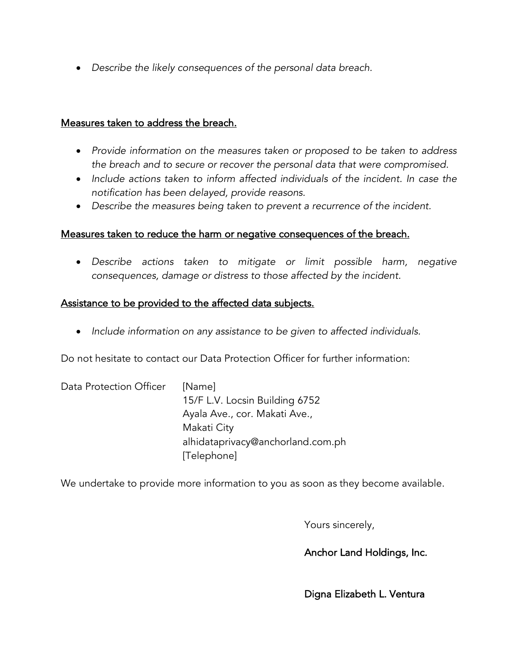• *Describe the likely consequences of the personal data breach.*

#### Measures taken to address the breach.

- *Provide information on the measures taken or proposed to be taken to address the breach and to secure or recover the personal data that were compromised.*
- *Include actions taken to inform affected individuals of the incident. In case the notification has been delayed, provide reasons.*
- *Describe the measures being taken to prevent a recurrence of the incident.*

## Measures taken to reduce the harm or negative consequences of the breach.

• *Describe actions taken to mitigate or limit possible harm, negative consequences, damage or distress to those affected by the incident.*

## Assistance to be provided to the affected data subjects.

• *Include information on any assistance to be given to affected individuals.*

Do not hesitate to contact our Data Protection Officer for further information:

| Data Protection Officer | [Name]                            |
|-------------------------|-----------------------------------|
|                         | 15/F L.V. Locsin Building 6752    |
|                         | Ayala Ave., cor. Makati Ave.,     |
|                         | Makati City                       |
|                         | alhidataprivacy@anchorland.com.ph |
|                         | [Telephone]                       |

We undertake to provide more information to you as soon as they become available.

Yours sincerely,

Anchor Land Holdings, Inc.

Digna Elizabeth L. Ventura